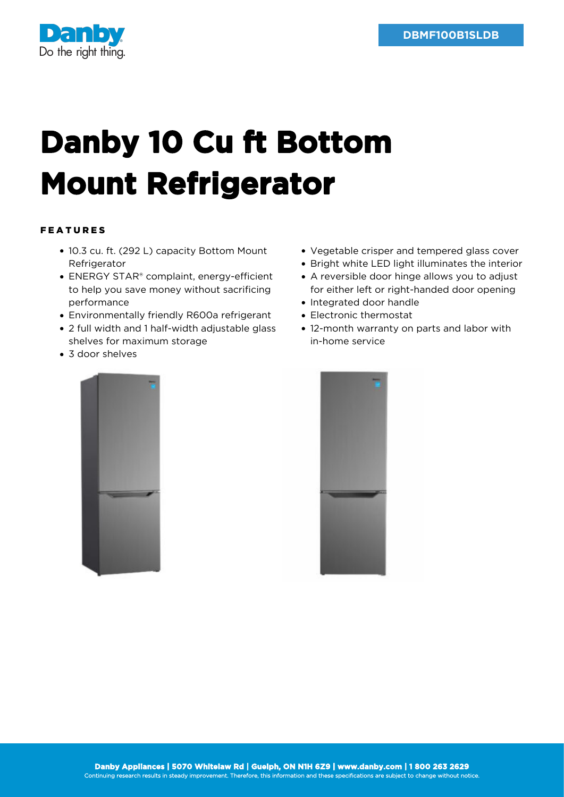

## **Danby 10 Cu ft Bottom Mount Refrigerator**

## FEATURES

- 10.3 cu. ft. (292 L) capacity Bottom Mount Refrigerator
- ENERGY STAR® complaint, energy-efficient to help you save money without sacrificing performance
- Environmentally friendly R600a refrigerant
- 2 full width and 1 half-width adjustable glass shelves for maximum storage
- 3 door shelves
- Vegetable crisper and tempered glass cover
- Bright white LED light illuminates the interior
- A reversible door hinge allows you to adjust for either left or right-handed door opening
- Integrated door handle
- Electronic thermostat
- 12-month warranty on parts and labor with in-home service